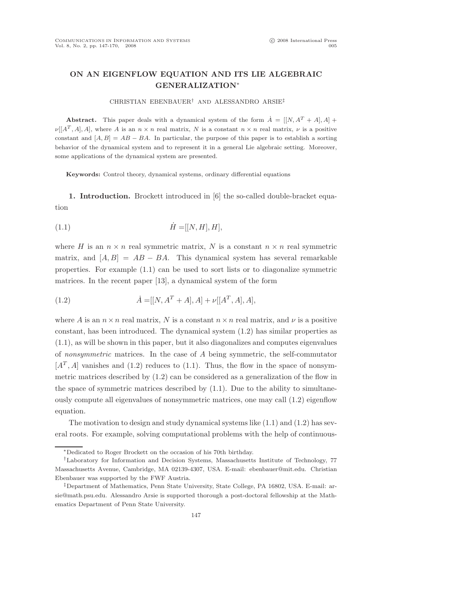# ON AN EIGENFLOW EQUATION AND ITS LIE ALGEBRAIC GENERALIZATION∗

### CHRISTIAN EBENBAUER† AND ALESSANDRO ARSIE‡

**Abstract.** This paper deals with a dynamical system of the form  $\dot{A} = [[N, A^T + A], A] +$  $\nu[[A^T, A], A],$  where A is an  $n \times n$  real matrix, N is a constant  $n \times n$  real matrix,  $\nu$  is a positive constant and  $[A, B] = AB - BA$ . In particular, the purpose of this paper is to establish a sorting behavior of the dynamical system and to represent it in a general Lie algebraic setting. Moreover, some applications of the dynamical system are presented.

Keywords: Control theory, dynamical systems, ordinary differential equations

1. Introduction. Brockett introduced in [6] the so-called double-bracket equation

$$
(1.1) \quad \dot{H} = [[N, H], H],
$$

where H is an  $n \times n$  real symmetric matrix, N is a constant  $n \times n$  real symmetric matrix, and  $[A, B] = AB - BA$ . This dynamical system has several remarkable properties. For example (1.1) can be used to sort lists or to diagonalize symmetric matrices. In the recent paper [13], a dynamical system of the form

(1.2) 
$$
\dot{A} = [[N, A^T + A], A] + \nu [[A^T, A], A],
$$

where A is an  $n \times n$  real matrix, N is a constant  $n \times n$  real matrix, and  $\nu$  is a positive constant, has been introduced. The dynamical system (1.2) has similar properties as (1.1), as will be shown in this paper, but it also diagonalizes and computes eigenvalues of nonsymmetric matrices. In the case of  $A$  being symmetric, the self-commutator  $[A<sup>T</sup>, A]$  vanishes and (1.2) reduces to (1.1). Thus, the flow in the space of nonsymmetric matrices described by (1.2) can be considered as a generalization of the flow in the space of symmetric matrices described by  $(1.1)$ . Due to the ability to simultaneously compute all eigenvalues of nonsymmetric matrices, one may call (1.2) eigenflow equation.

The motivation to design and study dynamical systems like  $(1.1)$  and  $(1.2)$  has several roots. For example, solving computational problems with the help of continuous-

<sup>∗</sup>Dedicated to Roger Brockett on the occasion of his 70th birthday.

<sup>†</sup>Laboratory for Information and Decision Systems, Massachusetts Institute of Technology, 77 Massachusetts Avenue, Cambridge, MA 02139-4307, USA. E-mail: ebenbauer@mit.edu. Christian Ebenbauer was supported by the FWF Austria.

<sup>‡</sup>Department of Mathematics, Penn State University, State College, PA 16802, USA. E-mail: arsie@math.psu.edu. Alessandro Arsie is supported thorough a post-doctoral fellowship at the Mathematics Department of Penn State University.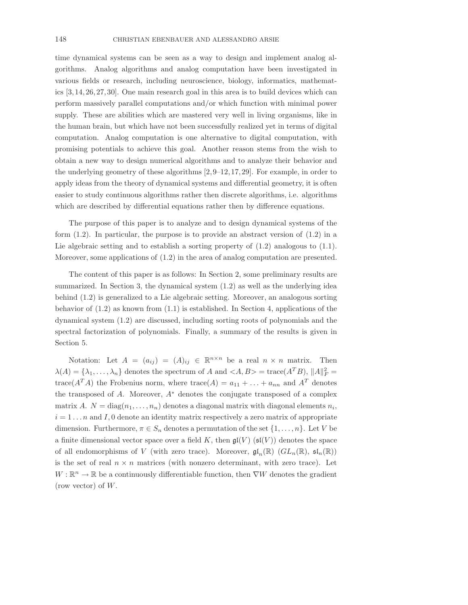time dynamical systems can be seen as a way to design and implement analog algorithms. Analog algorithms and analog computation have been investigated in various fields or research, including neuroscience, biology, informatics, mathematics [3, 14, 26, 27, 30]. One main research goal in this area is to build devices which can perform massively parallel computations and/or which function with minimal power supply. These are abilities which are mastered very well in living organisms, like in the human brain, but which have not been successfully realized yet in terms of digital computation. Analog computation is one alternative to digital computation, with promising potentials to achieve this goal. Another reason stems from the wish to obtain a new way to design numerical algorithms and to analyze their behavior and the underlying geometry of these algorithms [2, 9–12, 17, 29]. For example, in order to apply ideas from the theory of dynamical systems and differential geometry, it is often easier to study continuous algorithms rather then discrete algorithms, i.e. algorithms which are described by differential equations rather then by difference equations.

The purpose of this paper is to analyze and to design dynamical systems of the form (1.2). In particular, the purpose is to provide an abstract version of (1.2) in a Lie algebraic setting and to establish a sorting property of  $(1.2)$  analogous to  $(1.1)$ . Moreover, some applications of (1.2) in the area of analog computation are presented.

The content of this paper is as follows: In Section 2, some preliminary results are summarized. In Section 3, the dynamical system (1.2) as well as the underlying idea behind (1.2) is generalized to a Lie algebraic setting. Moreover, an analogous sorting behavior of  $(1.2)$  as known from  $(1.1)$  is established. In Section 4, applications of the dynamical system (1.2) are discussed, including sorting roots of polynomials and the spectral factorization of polynomials. Finally, a summary of the results is given in Section 5.

Notation: Let  $A = (a_{ij}) = (A)_{ij} \in \mathbb{R}^{n \times n}$  be a real  $n \times n$  matrix. Then  $\lambda(A) = {\lambda_1, ..., \lambda_n}$  denotes the spectrum of A and  $\langle A, B \rangle = \text{trace}(A^T B), ||A||_F^2 =$ trace( $A^T A$ ) the Frobenius norm, where trace( $A$ ) =  $a_{11} + \ldots + a_{nn}$  and  $A^T$  denotes the transposed of  $A$ . Moreover,  $A^*$  denotes the conjugate transposed of a complex matrix A.  $N = diag(n_1, \ldots, n_n)$  denotes a diagonal matrix with diagonal elements  $n_i$ ,  $i = 1 \ldots n$  and I, 0 denote an identity matrix respectively a zero matrix of appropriate dimension. Furthermore,  $\pi \in S_n$  denotes a permutation of the set  $\{1, \ldots, n\}$ . Let V be a finite dimensional vector space over a field K, then  $\mathfrak{gl}(V)$  ( $\mathfrak{sl}(V)$ ) denotes the space of all endomorphisms of V (with zero trace). Moreover,  $\mathfrak{gl}_n(\mathbb{R})$   $(GL_n(\mathbb{R}), \mathfrak{sl}_n(\mathbb{R}))$ is the set of real  $n \times n$  matrices (with nonzero determinant, with zero trace). Let  $W:\mathbb{R}^n\rightarrow\mathbb{R}$  be a continuously differentiable function, then  $\nabla W$  denotes the gradient (row vector) of  $W$ .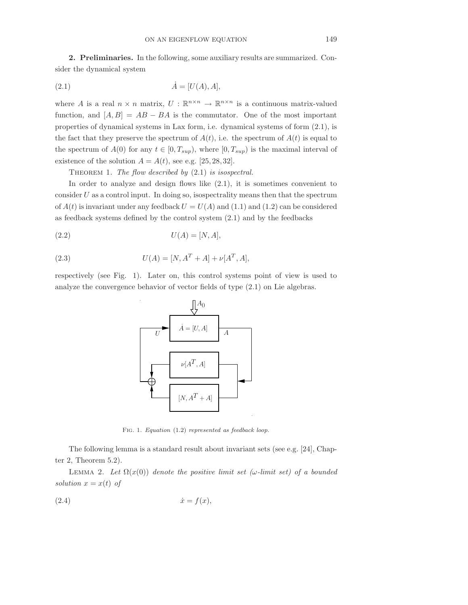2. Preliminaries. In the following, some auxiliary results are summarized. Consider the dynamical system

$$
(2.1)\qquad \qquad \dot{A} = [U(A), A],
$$

where A is a real  $n \times n$  matrix,  $U : \mathbb{R}^{n \times n} \to \mathbb{R}^{n \times n}$  is a continuous matrix-valued function, and  $[A, B] = AB - BA$  is the commutator. One of the most important properties of dynamical systems in Lax form, i.e. dynamical systems of form (2.1), is the fact that they preserve the spectrum of  $A(t)$ , i.e. the spectrum of  $A(t)$  is equal to the spectrum of  $A(0)$  for any  $t \in [0, T_{sup})$ , where  $[0, T_{sup})$  is the maximal interval of existence of the solution  $A = A(t)$ , see e.g. [25, 28, 32].

THEOREM 1. The flow described by  $(2.1)$  is isospectral.

In order to analyze and design flows like (2.1), it is sometimes convenient to consider  $U$  as a control input. In doing so, isospectrality means then that the spectrum of  $A(t)$  is invariant under any feedback  $U = U(A)$  and  $(1.1)$  and  $(1.2)$  can be considered as feedback systems defined by the control system (2.1) and by the feedbacks

$$
(2.2) \t\t U(A) = [N, A],
$$

(2.3) 
$$
U(A) = [N, A^T + A] + \nu[A^T, A],
$$

respectively (see Fig. 1). Later on, this control systems point of view is used to analyze the convergence behavior of vector fields of type (2.1) on Lie algebras.



Fig. 1. Equation (1.2) represented as feedback loop.

The following lemma is a standard result about invariant sets (see e.g. [24], Chapter 2, Theorem 5.2).

LEMMA 2. Let  $\Omega(x(0))$  denote the positive limit set ( $\omega$ -limit set) of a bounded solution  $x = x(t)$  of

$$
(2.4) \t\t\t \dot{x} = f(x),
$$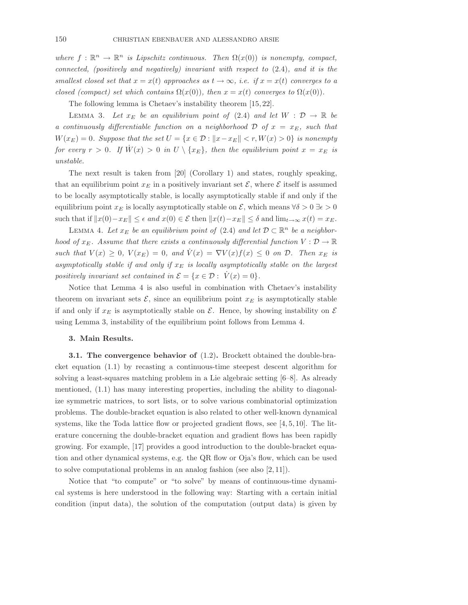where  $f : \mathbb{R}^n \to \mathbb{R}^n$  is Lipschitz continuous. Then  $\Omega(x(0))$  is nonempty, compact, connected, (positively and negatively) invariant with respect to  $(2.4)$ , and it is the smallest closed set that  $x = x(t)$  approaches as  $t \to \infty$ , i.e. if  $x = x(t)$  converges to a closed (compact) set which contains  $\Omega(x(0))$ , then  $x = x(t)$  converges to  $\Omega(x(0))$ .

The following lemma is Chetaev's instability theorem [15, 22].

LEMMA 3. Let  $x_E$  be an equilibrium point of (2.4) and let  $W : \mathcal{D} \to \mathbb{R}$  be a continuously differentiable function on a neighborhood  $\mathcal{D}$  of  $x = x_E$ , such that  $W(x_E) = 0$ . Suppose that the set  $U = \{x \in \mathcal{D} : ||x - x_E|| < r, W(x) > 0\}$  is nonempty for every  $r > 0$ . If  $\dot{W}(x) > 0$  in  $U \setminus \{x_E\}$ , then the equilibrium point  $x = x_E$  is unstable.

The next result is taken from [20] (Corollary 1) and states, roughly speaking, that an equilibrium point  $x_E$  in a positively invariant set  $\mathcal{E}$ , where  $\mathcal{E}$  itself is assumed to be locally asymptotically stable, is locally asymptotically stable if and only if the equilibrium point  $x_E$  is locally asymptotically stable on  $\mathcal E$ , which means  $\forall \delta > 0 \exists \epsilon > 0$ such that if  $||x(0)-x_E|| \leq \epsilon$  and  $x(0) \in \mathcal{E}$  then  $||x(t)-x_E|| \leq \delta$  and  $\lim_{t\to\infty} x(t) = x_E$ .

LEMMA 4. Let  $x_E$  be an equilibrium point of (2.4) and let  $D \subset \mathbb{R}^n$  be a neighborhood of  $x_E$ . Assume that there exists a continuously differential function  $V : \mathcal{D} \to \mathbb{R}$ such that  $V(x) \geq 0$ ,  $V(x_E) = 0$ , and  $V(x) = \nabla V(x)f(x) \leq 0$  on  $D$ . Then  $x_E$  is asymptotically stable if and only if  $x_E$  is locally asymptotically stable on the largest positively invariant set contained in  $\mathcal{E} = \{x \in \mathcal{D} : V(x) = 0\}.$ 

Notice that Lemma 4 is also useful in combination with Chetaev's instability theorem on invariant sets  $\mathcal{E}$ , since an equilibrium point  $x_E$  is asymptotically stable if and only if  $x_E$  is asymptotically stable on  $\mathcal E$ . Hence, by showing instability on  $\mathcal E$ using Lemma 3, instability of the equilibrium point follows from Lemma 4.

#### 3. Main Results.

3.1. The convergence behavior of (1.2). Brockett obtained the double-bracket equation (1.1) by recasting a continuous-time steepest descent algorithm for solving a least-squares matching problem in a Lie algebraic setting [6–8]. As already mentioned, (1.1) has many interesting properties, including the ability to diagonalize symmetric matrices, to sort lists, or to solve various combinatorial optimization problems. The double-bracket equation is also related to other well-known dynamical systems, like the Toda lattice flow or projected gradient flows, see  $[4, 5, 10]$ . The literature concerning the double-bracket equation and gradient flows has been rapidly growing. For example, [17] provides a good introduction to the double-bracket equation and other dynamical systems, e.g. the QR flow or Oja's flow, which can be used to solve computational problems in an analog fashion (see also [2, 11]).

Notice that "to compute" or "to solve" by means of continuous-time dynamical systems is here understood in the following way: Starting with a certain initial condition (input data), the solution of the computation (output data) is given by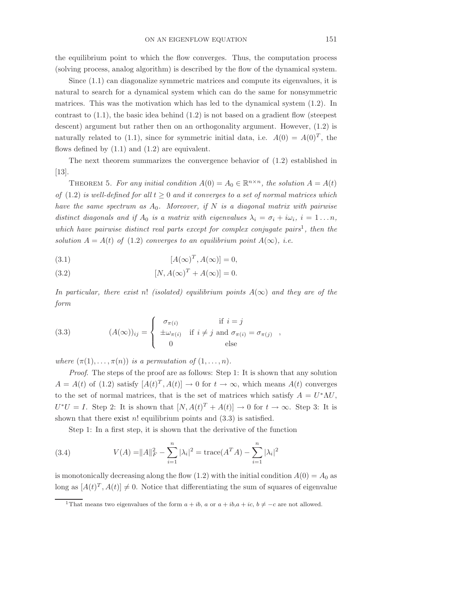the equilibrium point to which the flow converges. Thus, the computation process (solving process, analog algorithm) is described by the flow of the dynamical system.

Since (1.1) can diagonalize symmetric matrices and compute its eigenvalues, it is natural to search for a dynamical system which can do the same for nonsymmetric matrices. This was the motivation which has led to the dynamical system (1.2). In contrast to  $(1.1)$ , the basic idea behind  $(1.2)$  is not based on a gradient flow (steepest descent) argument but rather then on an orthogonality argument. However, (1.2) is naturally related to (1.1), since for symmetric initial data, i.e.  $A(0) = A(0)^T$ , the flows defined by  $(1.1)$  and  $(1.2)$  are equivalent.

The next theorem summarizes the convergence behavior of (1.2) established in [13].

THEOREM 5. For any initial condition  $A(0) = A_0 \in \mathbb{R}^{n \times n}$ , the solution  $A = A(t)$ of (1.2) is well-defined for all  $t \geq 0$  and it converges to a set of normal matrices which have the same spectrum as  $A_0$ . Moreover, if N is a diagonal matrix with pairwise distinct diagonals and if  $A_0$  is a matrix with eigenvalues  $\lambda_i = \sigma_i + i\omega_i$ ,  $i = 1...n$ , which have pairwise distinct real parts except for complex conjugate pairs<sup>1</sup>, then the solution  $A = A(t)$  of (1.2) converges to an equilibrium point  $A(\infty)$ , i.e.

(3.1) 
$$
[A(\infty)^T, A(\infty)] = 0,
$$

(3.2) 
$$
[N, A(\infty)^T + A(\infty)] = 0.
$$

In particular, there exist n! (isolated) equilibrium points  $A(\infty)$  and they are of the form

(3.3) 
$$
(A(\infty))_{ij} = \begin{cases} \sigma_{\pi(i)} & \text{if } i = j \\ \pm \omega_{\pi(i)} & \text{if } i \neq j \text{ and } \sigma_{\pi(i)} = \sigma_{\pi(j)} \\ 0 & \text{else} \end{cases}
$$

where  $(\pi(1), \ldots, \pi(n))$  is a permutation of  $(1, \ldots, n)$ .

Proof. The steps of the proof are as follows: Step 1: It is shown that any solution  $A = A(t)$  of (1.2) satisfy  $[A(t)^T, A(t)] \rightarrow 0$  for  $t \rightarrow \infty$ , which means  $A(t)$  converges to the set of normal matrices, that is the set of matrices which satisfy  $A = U^*\Lambda U$ ,  $U^*U = I$ . Step 2: It is shown that  $[N, A(t)^T + A(t)] \to 0$  for  $t \to \infty$ . Step 3: It is shown that there exist  $n!$  equilibrium points and  $(3.3)$  is satisfied.

Step 1: In a first step, it is shown that the derivative of the function

(3.4) 
$$
V(A) = ||A||_F^2 - \sum_{i=1}^n |\lambda_i|^2 = \text{trace}(A^T A) - \sum_{i=1}^n |\lambda_i|^2
$$

is monotonically decreasing along the flow (1.2) with the initial condition  $A(0) = A_0$  as long as  $[A(t)^T, A(t)] \neq 0$ . Notice that differentiating the sum of squares of eigenvalue

<sup>&</sup>lt;sup>1</sup>That means two eigenvalues of the form  $a + ib$ ,  $a$  or  $a + ib$ ,  $a + ic$ ,  $b \neq -c$  are not allowed.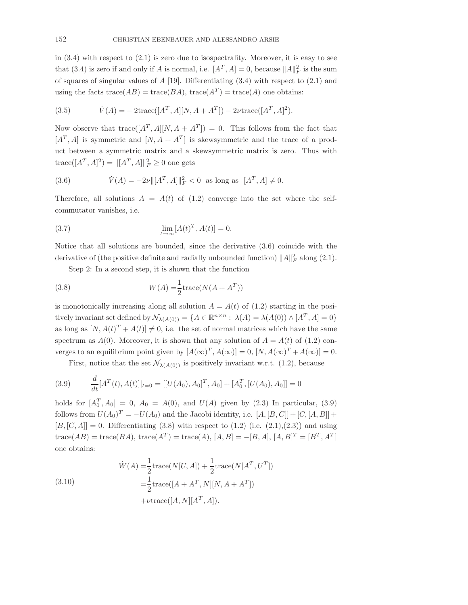in  $(3.4)$  with respect to  $(2.1)$  is zero due to isospectrality. Moreover, it is easy to see that (3.4) is zero if and only if A is normal, i.e.  $[A^T, A] = 0$ , because  $||A||_F^2$  $\frac{2}{F}$  is the sum of squares of singular values of  $A$  [19]. Differentiating  $(3.4)$  with respect to  $(2.1)$  and using the facts  $trace(AB) = trace(BA)$ ,  $trace(A^T) = trace(A)$  one obtains:

(3.5) 
$$
\dot{V}(A) = -2 \text{trace}([A^T, A][N, A + A^T]) - 2\nu \text{trace}([A^T, A]^2).
$$

Now observe that trace  $([A<sup>T</sup>, A][N, A + A<sup>T</sup>]) = 0$ . This follows from the fact that  $[A^T, A]$  is symmetric and  $[N, A + A^T]$  is skewsymmetric and the trace of a product between a symmetric matrix and a skewsymmetric matrix is zero. Thus with  $\text{trace}([A^T, A]^2) = ||[A^T, A]||_F^2 \ge 0$  one gets

(3.6) 
$$
\dot{V}(A) = -2\nu ||[A^T, A]||_F^2 < 0 \text{ as long as } [A^T, A] \neq 0.
$$

Therefore, all solutions  $A = A(t)$  of (1.2) converge into the set where the selfcommutator vanishes, i.e.

(3.7) 
$$
\lim_{t \to \infty} [A(t)^T, A(t)] = 0.
$$

Notice that all solutions are bounded, since the derivative (3.6) coincide with the derivative of (the positive definite and radially unbounded function)  $||A||_F^2$  $\frac{2}{F}$  along  $(2.1)$ .

Step 2: In a second step, it is shown that the function

(3.8) 
$$
W(A) = \frac{1}{2} \operatorname{trace}(N(A + A^T))
$$

is monotonically increasing along all solution  $A = A(t)$  of (1.2) starting in the positively invariant set defined by  $\mathcal{N}_{\lambda(A(0))} = \{ A \in \mathbb{R}^{n \times n} : \lambda(A) = \lambda(A(0)) \wedge [A^T, A] = 0 \}$ as long as  $[N, A(t)^{T} + A(t)] \neq 0$ , i.e. the set of normal matrices which have the same spectrum as  $A(0)$ . Moreover, it is shown that any solution of  $A = A(t)$  of (1.2) converges to an equilibrium point given by  $[A(\infty)^T, A(\infty)] = 0$ ,  $[N, A(\infty)^T + A(\infty)] = 0$ .

First, notice that the set  $\mathcal{N}_{\lambda(A(0))}$  is positively invariant w.r.t. (1.2), because

(3.9) 
$$
\frac{d}{dt}[A^T(t), A(t)]|_{t=0} = [[U(A_0), A_0]^T, A_0] + [A_0^T, [U(A_0), A_0]] = 0
$$

holds for  $[A_0^T, A_0] = 0$ ,  $A_0 = A(0)$ , and  $U(A)$  given by (2.3) In particular, (3.9) follows from  $U(A_0)^T = -U(A_0)$  and the Jacobi identity, i.e.  $[A, [B, C]] + [C, [A, B]] +$  $[B, [C, A]] = 0$ . Differentiating (3.8) with respect to (1.2) (i.e. (2.1),(2.3)) and using  $trace(AB) = trace(BA), trace(A^{T}) = trace(A), [A, B] = -[B, A], [A, B]^{T} = [B^{T}, A^{T}]$ one obtains:

(3.10)  
\n
$$
\dot{W}(A) = \frac{1}{2} \text{trace}(N[U, A]) + \frac{1}{2} \text{trace}(N[A^T, U^T])
$$
\n
$$
= \frac{1}{2} \text{trace}([A + A^T, N][N, A + A^T])
$$
\n
$$
+ \nu \text{trace}([A, N][A^T, A]).
$$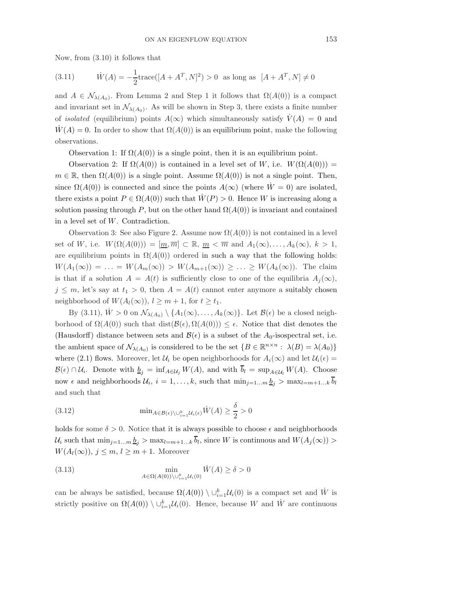Now, from (3.10) it follows that

(3.11) 
$$
\dot{W}(A) = -\frac{1}{2} \text{trace}([A + A^T, N]^2) > 0 \text{ as long as } [A + A^T, N] \neq 0
$$

and  $A \in \mathcal{N}_{\lambda(A_0)}$ . From Lemma 2 and Step 1 it follows that  $\Omega(A(0))$  is a compact and invariant set in  $\mathcal{N}_{\lambda(A_0)}$ . As will be shown in Step 3, there exists a finite number of *isolated* (equilibrium) points  $A(\infty)$  which simultaneously satisfy  $V(A) = 0$  and  $W(A) = 0$ . In order to show that  $\Omega(A(0))$  is an equilibrium point, make the following observations.

Observation 1: If  $\Omega(A(0))$  is a single point, then it is an equilibrium point.

Observation 2: If  $\Omega(A(0))$  is contained in a level set of W, i.e.  $W(\Omega(A(0))) =$  $m \in \mathbb{R}$ , then  $\Omega(A(0))$  is a single point. Assume  $\Omega(A(0))$  is not a single point. Then, since  $\Omega(A(0))$  is connected and since the points  $A(\infty)$  (where  $W=0$ ) are isolated, there exists a point  $P \in \Omega(A(0))$  such that  $\dot{W}(P) > 0$ . Hence W is increasing along a solution passing through P, but on the other hand  $\Omega(A(0))$  is invariant and contained in a level set of W. Contradiction.

Observation 3: See also Figure 2. Assume now  $\Omega(A(0))$  is not contained in a level set of W, i.e.  $W(\Omega(A(0))) = [\underline{m}, \overline{m}] \subset \mathbb{R}, \underline{m} < \overline{m}$  and  $A_1(\infty), \ldots, A_k(\infty), k > 1$ , are equilibrium points in  $\Omega(A(0))$  ordered in such a way that the following holds:  $W(A_1(\infty)) = \ldots = W(A_m(\infty)) > W(A_{m+1}(\infty)) \geq \ldots \geq W(A_k(\infty)).$  The claim is that if a solution  $A = A(t)$  is sufficiently close to one of the equilibria  $A_i(\infty)$ ,  $j \leq m$ , let's say at  $t_1 > 0$ , then  $A = A(t)$  cannot enter anymore a suitably chosen neighborhood of  $W(A_l(\infty)), l \geq m+1$ , for  $t \geq t_1$ .

By (3.11),  $W > 0$  on  $\mathcal{N}_{\lambda(A_0)} \setminus \{A_1(\infty), \ldots, A_k(\infty)\}\)$ . Let  $\mathcal{B}(\epsilon)$  be a closed neighborhood of  $\Omega(A(0))$  such that dist $(\mathcal{B}(\epsilon), \Omega(A(0))) \leq \epsilon$ . Notice that dist denotes the (Hausdorff) distance between sets and  $\mathcal{B}(\epsilon)$  is a subset of the A<sub>0</sub>-isospectral set, i.e. the ambient space of  $\mathcal{N}_{\lambda(A_0)}$  is considered to be the set  $\{B \in \mathbb{R}^{n \times n} : \lambda(B) = \lambda(A_0)\}\$ where (2.1) flows. Moreover, let  $\mathcal{U}_i$  be open neighborhoods for  $A_i(\infty)$  and let  $\mathcal{U}_i(\epsilon) =$  $\mathcal{B}(\epsilon) \cap \mathcal{U}_i$ . Denote with  $\underline{b}_j = \inf_{A \in \mathcal{U}_j} W(A)$ , and with  $b_l = \sup_{A \in \mathcal{U}_l} W(A)$ . Choose now  $\epsilon$  and neighborhoods  $\mathcal{U}_i$ ,  $i = 1, ..., k$ , such that  $\min_{j=1...m} \underline{b}_j > \max_{l=m+1...k} b_l$ and such that

(3.12) 
$$
\min_{A \in \mathcal{B}(\epsilon) \setminus \cup_{i=1}^k \mathcal{U}_i(\epsilon)} \dot{W}(A) \ge \frac{\delta}{2} > 0
$$

holds for some  $\delta > 0$ . Notice that it is always possible to choose  $\epsilon$  and neighborhoods  $\mathcal{U}_i$  such that  $\min_{j=1...m} \underline{b}_j > \max_{l=m+1...k} b_l$ , since W is continuous and  $W(A_j(\infty)) >$  $W(A_l(\infty)), j \leq m, l \geq m+1.$  Moreover

(3.13) 
$$
\min_{A \in \Omega(A(0)) \setminus \bigcup_{i=1}^k \mathcal{U}_i(0)} \dot{W}(A) \ge \delta > 0
$$

can be always be satisfied, because  $\Omega(A(0)) \setminus \cup_{i=1}^k \mathcal{U}_i(0)$  is a compact set and  $\dot{W}$  is strictly positive on  $\Omega(A(0)) \setminus \cup_{i=1}^k \mathcal{U}_i(0)$ . Hence, because W and W are continuous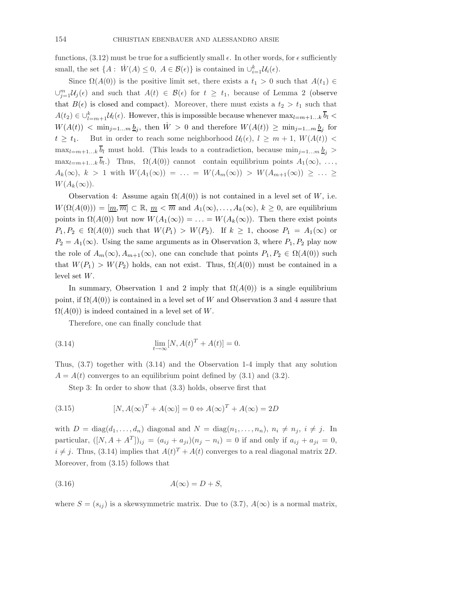functions,  $(3.12)$  must be true for a sufficiently small  $\epsilon$ . In other words, for  $\epsilon$  sufficiently small, the set  $\{A: \dot{W}(A) \leq 0, A \in \mathcal{B}(\epsilon)\}\$ is contained in  $\cup_{i=1}^k \mathcal{U}_i(\epsilon)$ .

Since  $\Omega(A(0))$  is the positive limit set, there exists a  $t_1 > 0$  such that  $A(t_1) \in$  $\cup_{j=1}^m$ Uj( $\epsilon$ ) and such that  $A(t) \in \mathcal{B}(\epsilon)$  for  $t \geq t_1$ , because of Lemma 2 (observe that  $B(\epsilon)$  is closed and compact). Moreover, there must exists a  $t_2 > t_1$  such that  $A(t_2) \in \bigcup_{l=m+1}^k \mathcal{U}_l(\epsilon)$ . However, this is impossible because whenever  $\max_{l=m+1...k} \overline{b}_l$  $W(A(t)) \leq \min_{j=1...m} \underline{b}_j$ , then  $\dot{W} > 0$  and therefore  $W(A(t)) \geq \min_{j=1...m} \underline{b}_j$  for  $t \geq t_1$ . But in order to reach some neighborhood  $\mathcal{U}_l(\epsilon)$ ,  $l \geq m+1$ ,  $W(A(t))$  <  $\max_{l=m+1...k} \overline{b}_l$  must hold. (This leads to a contradiction, because  $\min_{j=1...m} \underline{b}_j$ )  $\max_{l=m+1...k} b_l$ . Thus,  $\Omega(A(0))$  cannot contain equilibrium points  $A_1(\infty), \ldots,$  $A_k(\infty), k > 1$  with  $W(A_1(\infty)) = \ldots = W(A_m(\infty)) > W(A_{m+1}(\infty)) \geq \ldots \geq$  $W(A_k(\infty)).$ 

Observation 4: Assume again  $\Omega(A(0))$  is not contained in a level set of W, i.e.  $W(\Omega(A(0))) = [\underline{m}, \overline{m}] \subset \mathbb{R}, \underline{m} < \overline{m}$  and  $A_1(\infty), \ldots, A_k(\infty), k \geq 0$ , are equilibrium points in  $\Omega(A(0))$  but now  $W(A_1(\infty)) = \ldots = W(A_k(\infty))$ . Then there exist points  $P_1, P_2 \in \Omega(A(0))$  such that  $W(P_1) > W(P_2)$ . If  $k \geq 1$ , choose  $P_1 = A_1(\infty)$  or  $P_2 = A_1(\infty)$ . Using the same arguments as in Observation 3, where  $P_1, P_2$  play now the role of  $A_m(\infty), A_{m+1}(\infty)$ , one can conclude that points  $P_1, P_2 \in \Omega(A(0))$  such that  $W(P_1) > W(P_2)$  holds, can not exist. Thus,  $\Omega(A(0))$  must be contained in a level set W.

In summary, Observation 1 and 2 imply that  $\Omega(A(0))$  is a single equilibrium point, if  $\Omega(A(0))$  is contained in a level set of W and Observation 3 and 4 assure that  $\Omega(A(0))$  is indeed contained in a level set of W.

Therefore, one can finally conclude that

(3.14) 
$$
\lim_{t \to \infty} [N, A(t)^T + A(t)] = 0.
$$

Thus, (3.7) together with (3.14) and the Observation 1-4 imply that any solution  $A = A(t)$  converges to an equilibrium point defined by  $(3.1)$  and  $(3.2)$ .

Step 3: In order to show that (3.3) holds, observe first that

(3.15) 
$$
[N, A(\infty)^T + A(\infty)] = 0 \Leftrightarrow A(\infty)^T + A(\infty) = 2D
$$

with  $D = \text{diag}(d_1, \ldots, d_n)$  diagonal and  $N = \text{diag}(n_1, \ldots, n_n)$ ,  $n_i \neq n_j$ ,  $i \neq j$ . In particular,  $([N, A + A^T])_{ij} = (a_{ij} + a_{ji})(n_j - n_i) = 0$  if and only if  $a_{ij} + a_{ji} = 0$ ,  $i \neq j$ . Thus, (3.14) implies that  $A(t)^{T} + A(t)$  converges to a real diagonal matrix 2D. Moreover, from (3.15) follows that

$$
(3.16)\quad A(\infty) = D + S,
$$

where  $S = (s_{ij})$  is a skewsymmetric matrix. Due to (3.7),  $A(\infty)$  is a normal matrix,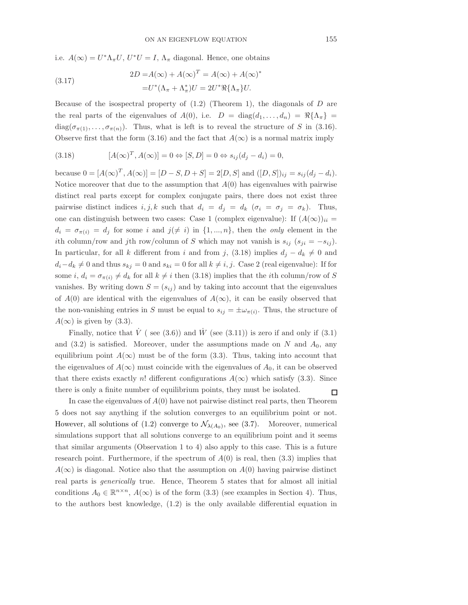i.e.  $A(\infty) = U^*\Lambda_{\pi}U, U^*U = I, \Lambda_{\pi}$  diagonal. Hence, one obtains

(3.17) 
$$
2D = A(\infty) + A(\infty)^{T} = A(\infty) + A(\infty)^{*}
$$

$$
= U^{*}(\Lambda_{\pi} + \Lambda_{\pi}^{*})U = 2U^{*}\Re{\{\Lambda_{\pi}\}}U.
$$

Because of the isospectral property of  $(1.2)$  (Theorem 1), the diagonals of D are the real parts of the eigenvalues of  $A(0)$ , i.e.  $D = \text{diag}(d_1, \ldots, d_n) = \Re\{\Lambda_\pi\}$  $diag(\sigma_{\pi(1)},\ldots,\sigma_{\pi(n)})$ . Thus, what is left is to reveal the structure of S in (3.16). Observe first that the form (3.16) and the fact that  $A(\infty)$  is a normal matrix imply

(3.18) 
$$
[A(\infty)^T, A(\infty)] = 0 \Leftrightarrow [S, D] = 0 \Leftrightarrow s_{ij}(d_j - d_i) = 0,
$$

because  $0 = [A(\infty)^T, A(\infty)] = [D - S, D + S] = 2[D, S]$  and  $([D, S])_{ij} = s_{ij} (d_j - d_i)$ . Notice moreover that due to the assumption that  $A(0)$  has eigenvalues with pairwise distinct real parts except for complex conjugate pairs, there does not exist three pairwise distinct indices  $i, j, k$  such that  $d_i = d_j = d_k$  ( $\sigma_i = \sigma_j = \sigma_k$ ). Thus, one can distinguish between two cases: Case 1 (complex eigenvalue): If  $(A(\infty))_{ii}$  =  $d_i = \sigma_{\pi(i)} = d_j$  for some i and  $j \neq i$  in  $\{1, ..., n\}$ , then the *only* element in the ith column/row and jth row/column of S which may not vanish is  $s_{ij}$  ( $s_{ji} = -s_{ij}$ ). In particular, for all k different from i and from j, (3.18) implies  $d_j - d_k \neq 0$  and  $d_i-d_k \neq 0$  and thus  $s_{kj} = 0$  and  $s_{ki} = 0$  for all  $k \neq i, j$ . Case 2 (real eigenvalue): If for some i,  $d_i = \sigma_{\pi(i)} \neq d_k$  for all  $k \neq i$  then (3.18) implies that the ith column/row of S vanishes. By writing down  $S = (s_{ij})$  and by taking into account that the eigenvalues of  $A(0)$  are identical with the eigenvalues of  $A(\infty)$ , it can be easily observed that the non-vanishing entries in S must be equal to  $s_{ij} = \pm \omega_{\pi(i)}$ . Thus, the structure of  $A(\infty)$  is given by (3.3).

Finally, notice that  $\dot{V}$  (see (3.6)) and  $\dot{W}$  (see (3.11)) is zero if and only if (3.1) and  $(3.2)$  is satisfied. Moreover, under the assumptions made on N and  $A_0$ , any equilibrium point  $A(\infty)$  must be of the form (3.3). Thus, taking into account that the eigenvalues of  $A(\infty)$  must coincide with the eigenvalues of  $A_0$ , it can be observed that there exists exactly n! different configurations  $A(\infty)$  which satisfy (3.3). Since there is only a finite number of equilibrium points, they must be isolated.  $\Box$ 

In case the eigenvalues of  $A(0)$  have not pairwise distinct real parts, then Theorem 5 does not say anything if the solution converges to an equilibrium point or not. However, all solutions of  $(1.2)$  converge to  $\mathcal{N}_{\lambda(A_0)}$ , see  $(3.7)$ . Moreover, numerical simulations support that all solutions converge to an equilibrium point and it seems that similar arguments (Observation 1 to 4) also apply to this case. This is a future research point. Furthermore, if the spectrum of  $A(0)$  is real, then  $(3.3)$  implies that  $A(\infty)$  is diagonal. Notice also that the assumption on  $A(0)$  having pairwise distinct real parts is generically true. Hence, Theorem 5 states that for almost all initial conditions  $A_0 \in \mathbb{R}^{n \times n}$ ,  $A(\infty)$  is of the form (3.3) (see examples in Section 4). Thus, to the authors best knowledge, (1.2) is the only available differential equation in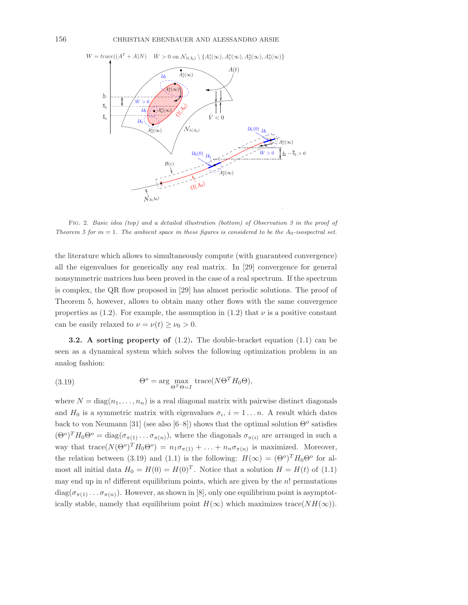

FIG. 2. Basic idea (top) and a detailed illustration (bottom) of Observation 3 in the proof of Theorem 5 for  $m = 1$ . The ambient space in these figures is considered to be the  $A_0$ -isospectral set.

the literature which allows to simultaneously compute (with guaranteed convergence) all the eigenvalues for generically any real matrix. In [29] convergence for general nonsymmetric matrices has been proved in the case of a real spectrum. If the spectrum is complex, the QR flow proposed in [29] has almost periodic solutions. The proof of Theorem 5, however, allows to obtain many other flows with the same convergence properties as  $(1.2)$ . For example, the assumption in  $(1.2)$  that  $\nu$  is a positive constant can be easily relaxed to  $\nu = \nu(t) \geq \nu_0 > 0$ .

**3.2.** A sorting property of  $(1.2)$ . The double-bracket equation  $(1.1)$  can be seen as a dynamical system which solves the following optimization problem in an analog fashion:

(3.19) 
$$
\Theta^o = \arg \max_{\Theta^T \Theta = I} \text{trace}(N\Theta^T H_0 \Theta),
$$

where  $N = \text{diag}(n_1, \ldots, n_n)$  is a real diagonal matrix with pairwise distinct diagonals and  $H_0$  is a symmetric matrix with eigenvalues  $\sigma_i$ ,  $i = 1 \dots n$ . A result which dates back to von Neumann [31] (see also [6–8]) shows that the optimal solution  $\Theta^o$  satisfies  $(\Theta^o)^T H_0 \Theta^o = \text{diag}(\sigma_{\pi(1)} \dots \sigma_{\pi(n)})$ , where the diagonals  $\sigma_{\pi(i)}$  are arranged in such a way that trace $(N(\Theta^o)^T H_0 \Theta^o) = n_1 \sigma_{\pi(1)} + \ldots + n_n \sigma_{\pi(n)}$  is maximized. Moreover, the relation between (3.19) and (1.1) is the following:  $H(\infty) = (\Theta^o)^T H_0 \Theta^o$  for almost all initial data  $H_0 = H(0) = H(0)^T$ . Notice that a solution  $H = H(t)$  of (1.1) may end up in  $n!$  different equilibrium points, which are given by the  $n!$  permutations  $diag(\sigma_{\pi(1)} \ldots \sigma_{\pi(n)})$ . However, as shown in [8], only one equilibrium point is asymptotically stable, namely that equilibrium point  $H(\infty)$  which maximizes trace( $NH(\infty)$ ).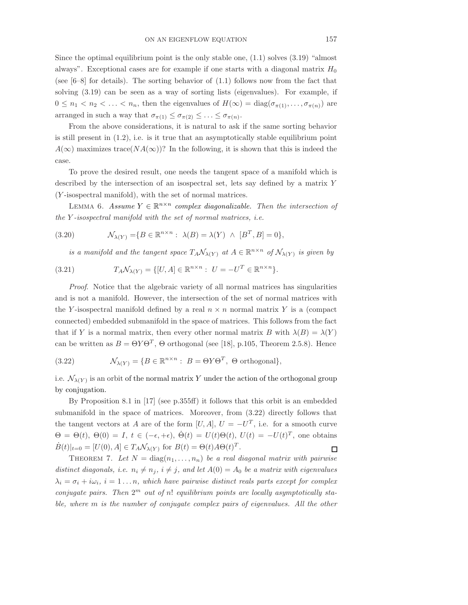Since the optimal equilibrium point is the only stable one,  $(1.1)$  solves  $(3.19)$  "almost" always". Exceptional cases are for example if one starts with a diagonal matrix  $H_0$ (see  $[6-8]$  for details). The sorting behavior of  $(1.1)$  follows now from the fact that solving (3.19) can be seen as a way of sorting lists (eigenvalues). For example, if  $0 \leq n_1 < n_2 < \ldots < n_n$ , then the eigenvalues of  $H(\infty) = \text{diag}(\sigma_{\pi(1)}, \ldots, \sigma_{\pi(n)})$  are arranged in such a way that  $\sigma_{\pi(1)} \leq \sigma_{\pi(2)} \leq \ldots \leq \sigma_{\pi(n)}$ .

From the above considerations, it is natural to ask if the same sorting behavior is still present in  $(1.2)$ , i.e. is it true that an asymptotically stable equilibrium point  $A(\infty)$  maximizes trace( $NA(\infty)$ )? In the following, it is shown that this is indeed the case.

To prove the desired result, one needs the tangent space of a manifold which is described by the intersection of an isospectral set, lets say defined by a matrix Y (Y -isospectral manifold), with the set of normal matrices.

LEMMA 6. Assume  $Y \in \mathbb{R}^{n \times n}$  complex diagonalizable. Then the intersection of the Y -isospectral manifold with the set of normal matrices, i.e.

(3.20) 
$$
\mathcal{N}_{\lambda(Y)} = \{ B \in \mathbb{R}^{n \times n} : \ \lambda(B) = \lambda(Y) \ \wedge \ [B^T, B] = 0 \},
$$

is a manifold and the tangent space  $T_A\mathcal{N}_{\lambda(Y)}$  at  $A\in\mathbb{R}^{n\times n}$  of  $\mathcal{N}_{\lambda(Y)}$  is given by

(3.21) 
$$
T_A \mathcal{N}_{\lambda(Y)} = \{ [U, A] \in \mathbb{R}^{n \times n} : U = -U^T \in \mathbb{R}^{n \times n} \}.
$$

Proof. Notice that the algebraic variety of all normal matrices has singularities and is not a manifold. However, the intersection of the set of normal matrices with the Y-isospectral manifold defined by a real  $n \times n$  normal matrix Y is a (compact connected) embedded submanifold in the space of matrices. This follows from the fact that if Y is a normal matrix, then every other normal matrix B with  $\lambda(B) = \lambda(Y)$ can be written as  $B = \Theta Y \Theta^T$ ,  $\Theta$  orthogonal (see [18], p.105, Theorem 2.5.8). Hence

(3.22) 
$$
\mathcal{N}_{\lambda(Y)} = \{ B \in \mathbb{R}^{n \times n} : B = \Theta Y \Theta^T, \ \Theta \text{ orthogonal} \},
$$

i.e.  $\mathcal{N}_{\lambda(Y)}$  is an orbit of the normal matrix Y under the action of the orthogonal group by conjugation.

By Proposition 8.1 in [17] (see p.355ff) it follows that this orbit is an embedded submanifold in the space of matrices. Moreover, from (3.22) directly follows that the tangent vectors at A are of the form  $[U, A]$ ,  $U = -U<sup>T</sup>$ , i.e. for a smooth curve  $\Theta = \Theta(t)$ ,  $\Theta(0) = I$ ,  $t \in (-\epsilon, +\epsilon)$ ,  $\dot{\Theta}(t) = U(t)\Theta(t)$ ,  $U(t) = -U(t)^T$ , one obtains  $\dot{B}(t)|_{t=0} = [U(0), A] \in T_A \mathcal{N}_{\lambda(Y)}$  for  $B(t) = \Theta(t) A \Theta(t)^T$ .  $\Box$ 

THEOREM 7. Let  $N = \text{diag}(n_1, \ldots, n_n)$  be a real diagonal matrix with pairwise distinct diagonals, i.e.  $n_i \neq n_j$ ,  $i \neq j$ , and let  $A(0) = A_0$  be a matrix with eigenvalues  $\lambda_i = \sigma_i + i\omega_i$ ,  $i = 1...n$ , which have pairwise distinct reals parts except for complex conjugate pairs. Then  $2^m$  out of n! equilibrium points are locally asymptotically stable, where m is the number of conjugate complex pairs of eigenvalues. All the other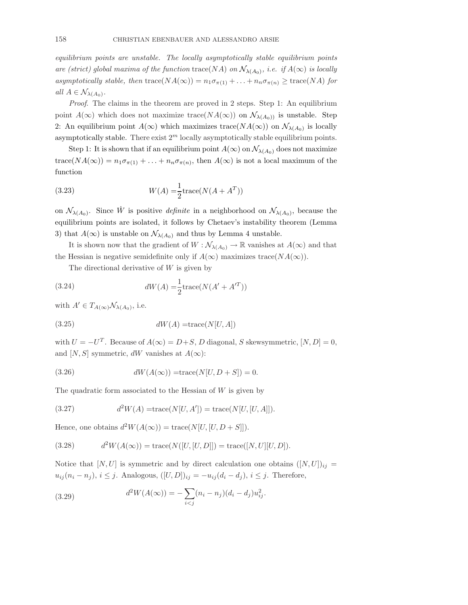equilibrium points are unstable. The locally asymptotically stable equilibrium points are (strict) global maxima of the function  $\text{trace}(NA)$  on  $\mathcal{N}_{\lambda(A_0)}$ , i.e. if  $A(\infty)$  is locally asymptotically stable, then  $\text{trace}(NA(\infty)) = n_1 \sigma_{\pi(1)} + \ldots + n_n \sigma_{\pi(n)} \geq \text{trace}(NA)$  for all  $A \in \mathcal{N}_{\lambda(A_0)}$ .

Proof. The claims in the theorem are proved in 2 steps. Step 1: An equilibrium point  $A(\infty)$  which does not maximize trace( $NA(\infty)$ ) on  $\mathcal{N}_{\lambda(A_0)}$  is unstable. Step 2: An equilibrium point  $A(\infty)$  which maximizes trace( $NA(\infty)$ ) on  $\mathcal{N}_{\lambda(A_0)}$  is locally asymptotically stable. There exist  $2<sup>m</sup>$  locally asymptotically stable equilibrium points.

Step 1: It is shown that if an equilibrium point  $A(\infty)$  on  $\mathcal{N}_{\lambda(A_0)}$  does not maximize trace( $NA(\infty)$ ) =  $n_1 \sigma_{\pi(1)} + \ldots + n_n \sigma_{\pi(n)}$ , then  $A(\infty)$  is not a local maximum of the function

(3.23) 
$$
W(A) = \frac{1}{2} \text{trace}(N(A + A^T))
$$

on  $\mathcal{N}_{\lambda(A_0)}$ . Since  $\dot{W}$  is positive *definite* in a neighborhood on  $\mathcal{N}_{\lambda(A_0)}$ , because the equilibrium points are isolated, it follows by Chetaev's instability theorem (Lemma 3) that  $A(\infty)$  is unstable on  $\mathcal{N}_{\lambda(A_0)}$  and thus by Lemma 4 unstable.

It is shown now that the gradient of  $W : \mathcal{N}_{\lambda(A_0)} \to \mathbb{R}$  vanishes at  $A(\infty)$  and that the Hessian is negative semidefinite only if  $A(\infty)$  maximizes trace( $NA(\infty)$ ).

The directional derivative of  $W$  is given by

(3.24) 
$$
dW(A) = \frac{1}{2} \text{trace}(N(A' + A'^T))
$$

with  $A' \in T_{A(\infty)} \mathcal{N}_{\lambda(A_0)}$ , i.e.

$$
(3.25) \t dW(A) = \text{trace}(N[U, A])
$$

with  $U = -U<sup>T</sup>$ . Because of  $A(\infty) = D+S$ , D diagonal, S skewsymmetric,  $[N, D] = 0$ , and [N, S] symmetric, dW vanishes at  $A(\infty)$ :

(3.26) 
$$
dW(A(\infty)) = \text{trace}(N[U, D + S]) = 0.
$$

The quadratic form associated to the Hessian of  $W$  is given by

(3.27) 
$$
d^2W(A) = \text{trace}(N[U, A']) = \text{trace}(N[U, [U, A]]).
$$

Hence, one obtains  $d^2W(A(\infty)) = \text{trace}(N[U, [U, D + S]]).$ 

(3.28) 
$$
d^2W(A(\infty)) = \text{trace}(N([U, [U, D]]) = \text{trace}([N, U][U, D]).
$$

Notice that  $[N, U]$  is symmetric and by direct calculation one obtains  $([N, U])_{ij} =$  $u_{ij}(n_i - n_j), i \leq j$ . Analogous,  $([U, D])_{ij} = -u_{ij}(d_i - d_j), i \leq j$ . Therefore,

(3.29) 
$$
d^2W(A(\infty)) = -\sum_{i < j} (n_i - n_j)(d_i - d_j)u_{ij}^2.
$$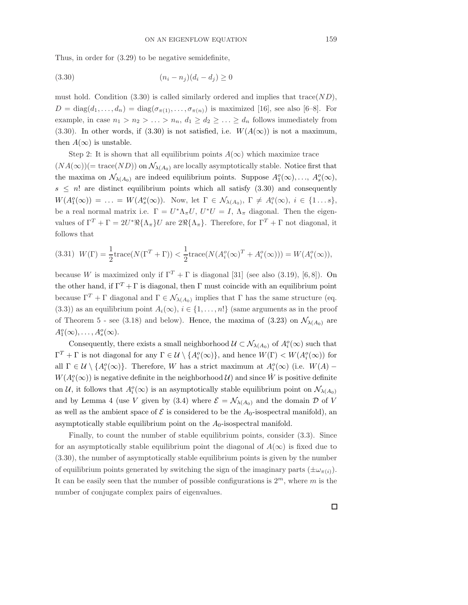Thus, in order for (3.29) to be negative semidefinite,

$$
(3.30) \t\t\t (n_i - n_j)(d_i - d_j) \ge 0
$$

must hold. Condition (3.30) is called similarly ordered and implies that  $trace(ND)$ ,  $D = \text{diag}(d_1, \ldots, d_n) = \text{diag}(\sigma_{\pi(1)}, \ldots, \sigma_{\pi(n)})$  is maximized [16], see also [6–8]. For example, in case  $n_1 > n_2 > \ldots > n_n$ ,  $d_1 \geq d_2 \geq \ldots \geq d_n$  follows immediately from (3.30). In other words, if (3.30) is not satisfied, i.e.  $W(A(\infty))$  is not a maximum, then  $A(\infty)$  is unstable.

Step 2: It is shown that all equilibrium points  $A(\infty)$  which maximize trace  $(NA(\infty))$ (= trace(ND)) on  $\mathcal{N}_{\lambda(A_0)}$  are locally asymptotically stable. Notice first that the maxima on  $\mathcal{N}_{\lambda(A_0)}$  are indeed equilibrium points. Suppose  $A_1^o(\infty), \ldots, A_s^o(\infty)$ ,  $s \leq n!$  are distinct equilibrium points which all satisfy (3.30) and consequently  $W(A_1^o(\infty)) = \ldots = W(A_s^o(\infty)).$  Now, let  $\Gamma \in \mathcal{N}_{\lambda(A_0)}, \Gamma \neq A_i^o(\infty), i \in \{1 \ldots s\},$ be a real normal matrix i.e.  $\Gamma = U^* \Lambda_{\pi} U$ ,  $U^* U = I$ ,  $\Lambda_{\pi}$  diagonal. Then the eigenvalues of  $\Gamma^T + \Gamma = 2U^* \Re{\{\Lambda_{\pi}\}} U$  are  $2\Re{\{\Lambda_{\pi}\}}$ . Therefore, for  $\Gamma^T + \Gamma$  not diagonal, it follows that

(3.31) 
$$
W(\Gamma) = \frac{1}{2} \text{trace}(N(\Gamma^T + \Gamma)) < \frac{1}{2} \text{trace}(N(A_i^o(\infty)^T + A_i^o(\infty))) = W(A_i^o(\infty)),
$$

because W is maximized only if  $\Gamma^T + \Gamma$  is diagonal [31] (see also (3.19), [6, 8]). On the other hand, if  $\Gamma^T + \Gamma$  is diagonal, then  $\Gamma$  must coincide with an equilibrium point because  $\Gamma^T + \Gamma$  diagonal and  $\Gamma \in \mathcal{N}_{\lambda(A_0)}$  implies that  $\Gamma$  has the same structure (eq. (3.3)) as an equilibrium point  $A_i(\infty)$ ,  $i \in \{1, ..., n!\}$  (same arguments as in the proof of Theorem 5 - see (3.18) and below). Hence, the maxima of (3.23) on  $\mathcal{N}_{\lambda(A_0)}$  are  $A_1^o(\infty), \ldots, A_s^o(\infty).$ 

Consequently, there exists a small neighborhood  $\mathcal{U} \subset \mathcal{N}_{\lambda(A_0)}$  of  $A_i^o(\infty)$  such that  $\Gamma^T + \Gamma$  is not diagonal for any  $\Gamma \in \mathcal{U} \setminus \{A_i^o(\infty)\}\$ , and hence  $W(\Gamma) < W(A_i^o(\infty))$  for all  $\Gamma \in \mathcal{U} \setminus \{A_i^o(\infty)\}\$ . Therefore, W has a strict maximum at  $A_i^o(\infty)$  (i.e.  $W(A)$  –  $W(A_i^o(\infty))$  is negative definite in the neighborhood  $\mathcal{U})$  and since  $\dot{W}$  is positive definite on U, it follows that  $A_i^o(\infty)$  is an asymptotically stable equilibrium point on  $\mathcal{N}_{\lambda(A_0)}$ and by Lemma 4 (use V given by (3.4) where  $\mathcal{E} = \mathcal{N}_{\lambda(A_0)}$  and the domain  $\mathcal D$  of V as well as the ambient space of  $\mathcal E$  is considered to be the  $A_0$ -isospectral manifold), an asymptotically stable equilibrium point on the  $A_0$ -isospectral manifold.

Finally, to count the number of stable equilibrium points, consider (3.3). Since for an asymptotically stable equilibrium point the diagonal of  $A(\infty)$  is fixed due to (3.30), the number of asymptotically stable equilibrium points is given by the number of equilibrium points generated by switching the sign of the imaginary parts  $(\pm \omega_{\pi(i)})$ . It can be easily seen that the number of possible configurations is  $2^m$ , where m is the number of conjugate complex pairs of eigenvalues.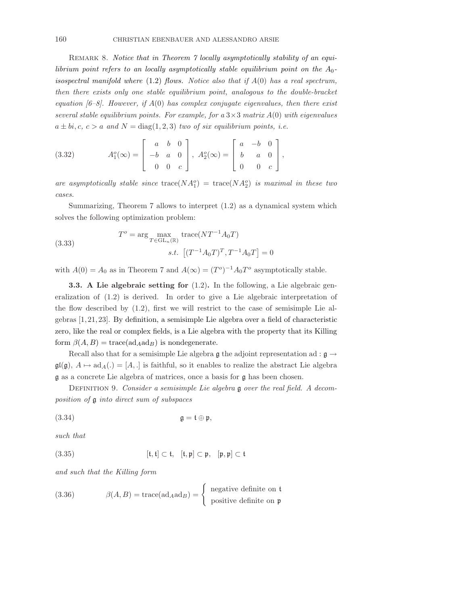REMARK 8. Notice that in Theorem 7 locally asymptotically stability of an equilibrium point refers to an locally asymptotically stable equilibrium point on the  $A_0$ isospectral manifold where  $(1.2)$  flows. Notice also that if  $A(0)$  has a real spectrum, then there exists only one stable equilibrium point, analogous to the double-bracket equation  $[6-8]$ . However, if  $A(0)$  has complex conjugate eigenvalues, then there exist several stable equilibrium points. For example, for a  $3\times3$  matrix  $A(0)$  with eigenvalues  $a \pm bi, c, c > a$  and  $N = \text{diag}(1, 2, 3)$  two of six equilibrium points, i.e.

(3.32) 
$$
A_1^o(\infty) = \begin{bmatrix} a & b & 0 \\ -b & a & 0 \\ 0 & 0 & c \end{bmatrix}, A_2^o(\infty) = \begin{bmatrix} a & -b & 0 \\ b & a & 0 \\ 0 & 0 & c \end{bmatrix},
$$

are asymptotically stable since  $trace(NA_1^o)$  =  $trace(NA_2^o)$  is maximal in these two cases.

Summarizing, Theorem 7 allows to interpret (1.2) as a dynamical system which solves the following optimization problem:

(3.33) 
$$
T^{o} = \arg \max_{T \in GL_{n}(\mathbb{R})} \text{trace}(NT^{-1}A_{0}T)
$$

$$
s.t. \left[ (T^{-1}A_{0}T)^{T}, T^{-1}A_{0}T \right] = 0
$$

with  $A(0) = A_0$  as in Theorem 7 and  $A(\infty) = (T^o)^{-1} A_0 T^o$  asymptotically stable.

**3.3.** A Lie algebraic setting for  $(1.2)$ . In the following, a Lie algebraic generalization of (1.2) is derived. In order to give a Lie algebraic interpretation of the flow described by (1.2), first we will restrict to the case of semisimple Lie algebras [1, 21, 23]. By definition, a semisimple Lie algebra over a field of characteristic zero, like the real or complex fields, is a Lie algebra with the property that its Killing form  $\beta(A, B) = \text{trace}(\text{ad}_A \text{ad}_B)$  is nondegenerate.

Recall also that for a semisimple Lie algebra g the adjoint representation ad :  $\mathfrak{g} \rightarrow$  $\mathfrak{gl}(\mathfrak{g}), A \mapsto \mathrm{ad}_A(.) = [A, .]$  is faithful, so it enables to realize the abstract Lie algebra g as a concrete Lie algebra of matrices, once a basis for g has been chosen.

DEFINITION 9. Consider a semisimple Lie algebra  $\mathfrak g$  over the real field. A decomposition of g into direct sum of subspaces

(3.34) g = t ⊕ p,

such that

(3.35) 
$$
[t, t] \subset t, [t, p] \subset p, [p, p] \subset t
$$

and such that the Killing form

(3.36) 
$$
\beta(A, B) = \operatorname{trace}(\operatorname{ad}_A \operatorname{ad}_B) = \begin{cases} \text{ negative definite on } \mathfrak{t} \\ \text{positive definite on } \mathfrak{p} \end{cases}
$$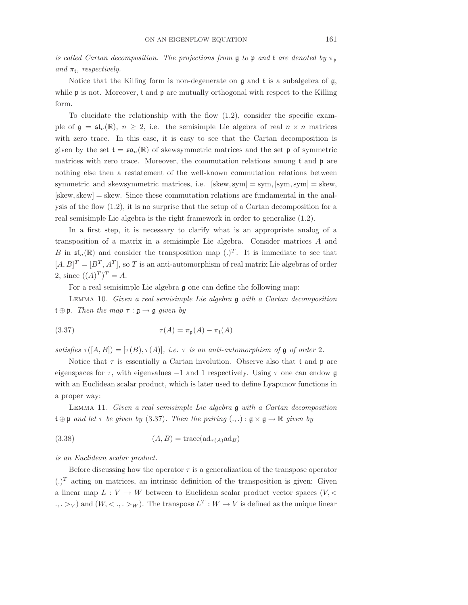is called Cartan decomposition. The projections from  $\mathfrak g$  to  $\mathfrak p$  and  $\mathfrak t$  are denoted by  $\pi_{\mathfrak p}$ and  $\pi_t$ , respectively.

Notice that the Killing form is non-degenerate on  $\mathfrak g$  and  $\mathfrak t$  is a subalgebra of  $\mathfrak g$ , while  $\mathfrak p$  is not. Moreover,  $\mathfrak t$  and  $\mathfrak p$  are mutually orthogonal with respect to the Killing form.

To elucidate the relationship with the flow (1.2), consider the specific example of  $\mathfrak{g} = \mathfrak{sl}_n(\mathbb{R})$ ,  $n \geq 2$ , i.e. the semisimple Lie algebra of real  $n \times n$  matrices with zero trace. In this case, it is easy to see that the Cartan decomposition is given by the set  $\mathfrak{t} = \mathfrak{so}_n(\mathbb{R})$  of skewsymmetric matrices and the set p of symmetric matrices with zero trace. Moreover, the commutation relations among t and p are nothing else then a restatement of the well-known commutation relations between symmetric and skewsymmetric matrices, i.e.  $[skew, sym] = sym, [sym, sym] = skew$ ,  $[skew, skew] = skew$ . Since these commutation relations are fundamental in the analysis of the flow (1.2), it is no surprise that the setup of a Cartan decomposition for a real semisimple Lie algebra is the right framework in order to generalize (1.2).

In a first step, it is necessary to clarify what is an appropriate analog of a transposition of a matrix in a semisimple Lie algebra. Consider matrices A and B in  $\mathfrak{sl}_n(\mathbb{R})$  and consider the transposition map  $(.)^T$ . It is immediate to see that  $[A, B]^T = [B^T, A^T]$ , so T is an anti-automorphism of real matrix Lie algebras of order 2, since  $((A)^{T})^{T} = A$ .

For a real semisimple Lie algebra  $\mathfrak g$  one can define the following map:

LEMMA 10. Given a real semisimple Lie algebra  $\mathfrak g$  with a Cartan decomposition  $\mathfrak{t} \oplus \mathfrak{p}$ . Then the map  $\tau : \mathfrak{g} \to \mathfrak{g}$  given by

(3.37) 
$$
\tau(A) = \pi_{\mathfrak{p}}(A) - \pi_{\mathfrak{t}}(A)
$$

satisfies  $\tau([A, B]) = [\tau(B), \tau(A)],$  i.e.  $\tau$  is an anti-automorphism of g of order 2.

Notice that  $\tau$  is essentially a Cartan involution. Observe also that  $\mathfrak t$  and  $\mathfrak p$  are eigenspaces for  $\tau$ , with eigenvalues  $-1$  and 1 respectively. Using  $\tau$  one can endow g with an Euclidean scalar product, which is later used to define Lyapunov functions in a proper way:

LEMMA 11. Given a real semisimple Lie algebra  $\mathfrak g$  with a Cartan decomposition  $\mathfrak{t} \oplus \mathfrak{p}$  and let  $\tau$  be given by (3.37). Then the pairing  $(.,.) : \mathfrak{g} \times \mathfrak{g} \to \mathbb{R}$  given by

$$
(3.38)\qquad (A,B) = \text{trace}(\text{ad}_{\tau(A)}\text{ad}_B)
$$

is an Euclidean scalar product.

Before discussing how the operator  $\tau$  is a generalization of the transpose operator  $(.)^T$  acting on matrices, an intrinsic definition of the transposition is given: Given a linear map  $L: V \to W$  between to Euclidean scalar product vector spaces  $(V, \leq$  $(., .>_V)$  and  $(W, < ., .>_W)$ . The transpose  $L^T : W \to V$  is defined as the unique linear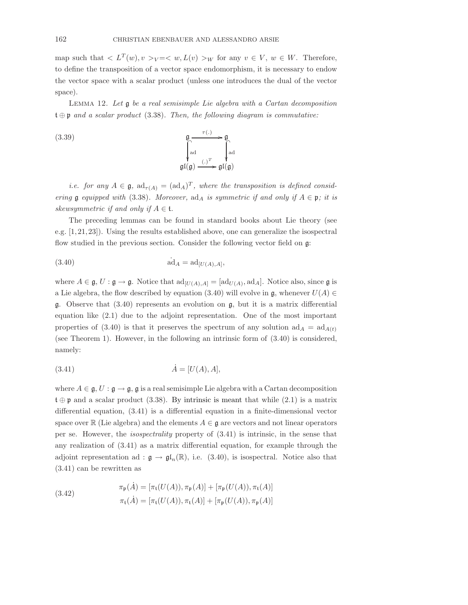map such that  $\langle L^T(w), v \rangle_{V} = \langle w, L(v) \rangle_{W}$  for any  $v \in V, w \in W$ . Therefore, to define the transposition of a vector space endomorphism, it is necessary to endow the vector space with a scalar product (unless one introduces the dual of the vector space).

LEMMA 12. Let  $\mathfrak g$  be a real semisimple Lie algebra with a Cartan decomposition  $\mathfrak{t} \oplus \mathfrak{p}$  and a scalar product (3.38). Then, the following diagram is commutative:

(3.39) 
$$
\begin{array}{ccc}\n\mathfrak{g} & \underset{\text{ad}}{\longrightarrow} \mathfrak{g} \\
\downarrow & \downarrow \\
\text{ad} & \underset{\mathfrak{g} \mathfrak{l}(\mathfrak{g})}{\longrightarrow} \mathfrak{g} \mathfrak{l}(\mathfrak{g})\n\end{array}
$$

*i.e.* for any  $A \in \mathfrak{g}$ ,  $ad_{\tau(A)} = (ad_A)^T$ , where the transposition is defined considering  $\mathfrak g$  equipped with (3.38). Moreover, ad<sub>A</sub> is symmetric if and only if  $A \in \mathfrak p$ ; it is skewsymmetric if and only if  $A \in \mathfrak{t}$ .

The preceding lemmas can be found in standard books about Lie theory (see e.g. [1, 21, 23]). Using the results established above, one can generalize the isospectral flow studied in the previous section. Consider the following vector field on  $\mathfrak{g}$ :

$$
\dot{\text{ad}}_A = \text{ad}_{[U(A),A]},
$$

where  $A \in \mathfrak{g}, U : \mathfrak{g} \to \mathfrak{g}$ . Notice that  $\text{ad}_{[U(A),A]} = [\text{ad}_{U(A)}, \text{ad}_A]$ . Notice also, since  $\mathfrak{g}$  is a Lie algebra, the flow described by equation (3.40) will evolve in  $\mathfrak{g}$ , whenever  $U(A) \in$ g. Observe that  $(3.40)$  represents an evolution on g, but it is a matrix differential equation like (2.1) due to the adjoint representation. One of the most important properties of (3.40) is that it preserves the spectrum of any solution  $ad_A = ad_{A(t)}$ (see Theorem 1). However, in the following an intrinsic form of (3.40) is considered, namely:

$$
(3.41)\qquad \qquad \dot{A} = [U(A), A],
$$

where  $A \in \mathfrak{g}, U : \mathfrak{g} \to \mathfrak{g}, \mathfrak{g}$  is a real semisimple Lie algebra with a Cartan decomposition  $\mathfrak{t} \oplus \mathfrak{p}$  and a scalar product (3.38). By intrinsic is meant that while (2.1) is a matrix differential equation, (3.41) is a differential equation in a finite-dimensional vector space over R (Lie algebra) and the elements  $A \in \mathfrak{g}$  are vectors and not linear operators per se. However, the isospectrality property of (3.41) is intrinsic, in the sense that any realization of (3.41) as a matrix differential equation, for example through the adjoint representation ad :  $\mathfrak{g} \to \mathfrak{gl}_n(\mathbb{R})$ , i.e. (3.40), is isospectral. Notice also that (3.41) can be rewritten as

(3.42) 
$$
\pi_{\mathfrak{p}}(\dot{A}) = [\pi_{\mathfrak{t}}(U(A)), \pi_{\mathfrak{p}}(A)] + [\pi_{\mathfrak{p}}(U(A)), \pi_{\mathfrak{t}}(A)] \pi_{\mathfrak{t}}(\dot{A}) = [\pi_{\mathfrak{t}}(U(A)), \pi_{\mathfrak{t}}(A)] + [\pi_{\mathfrak{p}}(U(A)), \pi_{\mathfrak{p}}(A)]
$$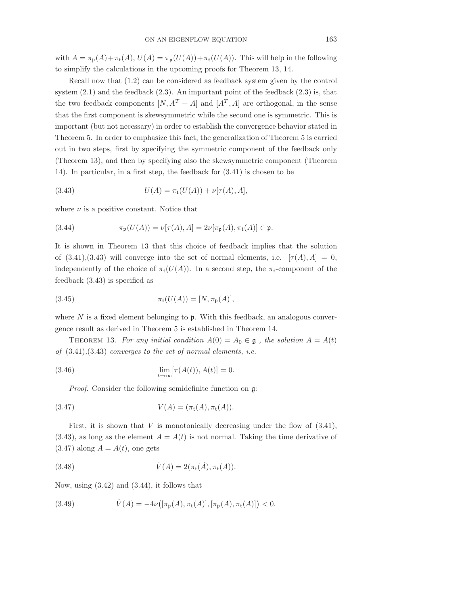with  $A = \pi_{\mathfrak{p}}(A) + \pi_{\mathfrak{t}}(A), U(A) = \pi_{\mathfrak{p}}(U(A)) + \pi_{\mathfrak{t}}(U(A)).$  This will help in the following to simplify the calculations in the upcoming proofs for Theorem 13, 14.

Recall now that (1.2) can be considered as feedback system given by the control system  $(2.1)$  and the feedback  $(2.3)$ . An important point of the feedback  $(2.3)$  is, that the two feedback components  $[N, A^T + A]$  and  $[A^T, A]$  are orthogonal, in the sense that the first component is skewsymmetric while the second one is symmetric. This is important (but not necessary) in order to establish the convergence behavior stated in Theorem 5. In order to emphasize this fact, the generalization of Theorem 5 is carried out in two steps, first by specifying the symmetric component of the feedback only (Theorem 13), and then by specifying also the skewsymmetric component (Theorem 14). In particular, in a first step, the feedback for (3.41) is chosen to be

(3.43) 
$$
U(A) = \pi_t(U(A)) + \nu[\tau(A), A],
$$

where  $\nu$  is a positive constant. Notice that

(3.44) 
$$
\pi_{\mathfrak{p}}(U(A)) = \nu[\tau(A), A] = 2\nu[\pi_{\mathfrak{p}}(A), \pi_{\mathfrak{t}}(A)] \in \mathfrak{p}.
$$

It is shown in Theorem 13 that this choice of feedback implies that the solution of  $(3.41),(3.43)$  will converge into the set of normal elements, i.e.  $[\tau(A), A] = 0$ , independently of the choice of  $\pi_t(U(A))$ . In a second step, the  $\pi_t$ -component of the feedback (3.43) is specified as

(3.45) 
$$
\pi_{t}(U(A)) = [N, \pi_{p}(A)],
$$

where  $N$  is a fixed element belonging to  $\mathfrak p$ . With this feedback, an analogous convergence result as derived in Theorem 5 is established in Theorem 14.

THEOREM 13. For any initial condition  $A(0) = A_0 \in \mathfrak{g}$ , the solution  $A = A(t)$ of  $(3.41), (3.43)$  converges to the set of normal elements, i.e.

(3.46) 
$$
\lim_{t \to \infty} [\tau(A(t)), A(t)] = 0.
$$

Proof. Consider the following semidefinite function on g:

(3.47) 
$$
V(A) = (\pi_t(A), \pi_t(A)).
$$

First, it is shown that  $V$  is monotonically decreasing under the flow of  $(3.41)$ ,  $(3.43)$ , as long as the element  $A = A(t)$  is not normal. Taking the time derivative of  $(3.47)$  along  $A = A(t)$ , one gets

(3.48) 
$$
\dot{V}(A) = 2(\pi_t(\dot{A}), \pi_t(A)).
$$

Now, using (3.42) and (3.44), it follows that

(3.49) 
$$
\dot{V}(A) = -4\nu([\pi_{\mathfrak{p}}(A), \pi_{\mathfrak{t}}(A)], [\pi_{\mathfrak{p}}(A), \pi_{\mathfrak{t}}(A)]) < 0.
$$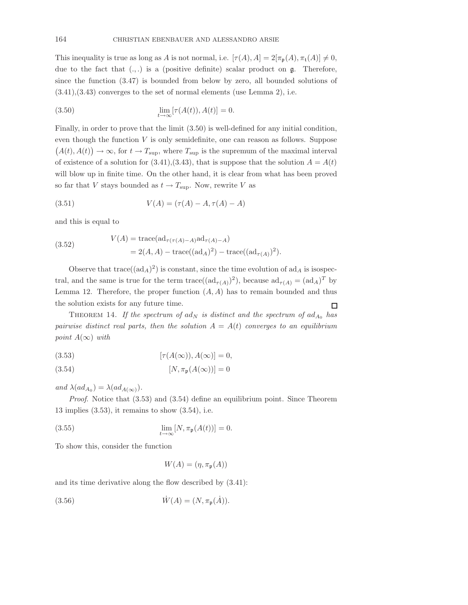This inequality is true as long as A is not normal, i.e.  $[\tau(A), A] = 2[\pi_p(A), \pi_t(A)] \neq 0$ , due to the fact that  $(.,.)$  is a (positive definite) scalar product on  $\mathfrak{g}$ . Therefore, since the function (3.47) is bounded from below by zero, all bounded solutions of  $(3.41), (3.43)$  converges to the set of normal elements (use Lemma 2), i.e.

(3.50) 
$$
\lim_{t \to \infty} [\tau(A(t)), A(t)] = 0.
$$

Finally, in order to prove that the limit (3.50) is well-defined for any initial condition, even though the function  $V$  is only semidefinite, one can reason as follows. Suppose  $(A(t), A(t)) \to \infty$ , for  $t \to T_{\text{sup}}$ , where  $T_{\text{sup}}$  is the supremum of the maximal interval of existence of a solution for  $(3.41),(3.43)$ , that is suppose that the solution  $A = A(t)$ will blow up in finite time. On the other hand, it is clear from what has been proved so far that V stays bounded as  $t \to T_{\text{sup}}$ . Now, rewrite V as

(3.51) 
$$
V(A) = (\tau(A) - A, \tau(A) - A)
$$

and this is equal to

(3.52) 
$$
V(A) = \text{trace}(\text{ad}_{\tau(\tau(A)-A)}\text{ad}_{\tau(A)-A})
$$

$$
= 2(A, A) - \text{trace}((\text{ad}_{A})^2) - \text{trace}((\text{ad}_{\tau(A)})^2).
$$

Observe that  $trace((ad_A)^2)$  is constant, since the time evolution of  $ad_A$  is isospectral, and the same is true for the term trace( $(\text{ad}_{\tau(A)})^2$ ), because  $\text{ad}_{\tau(A)} = (\text{ad}_A)^T$  by Lemma 12. Therefore, the proper function  $(A, A)$  has to remain bounded and thus the solution exists for any future time.  $\Box$ 

THEOREM 14. If the spectrum of ad<sub>N</sub> is distinct and the spectrum of  $ad_{A_0}$  has pairwise distinct real parts, then the solution  $A = A(t)$  converges to an equilibrium point  $A(\infty)$  with

(3.53) 
$$
[\tau(A(\infty)), A(\infty)] = 0,
$$

(3.54) 
$$
[N, \pi_{\mathfrak{p}}(A(\infty))] = 0
$$

and  $\lambda(ad_{A_0})=\lambda(ad_{A(\infty)})$ .

*Proof.* Notice that  $(3.53)$  and  $(3.54)$  define an equilibrium point. Since Theorem 13 implies  $(3.53)$ , it remains to show  $(3.54)$ , i.e.

(3.55) 
$$
\lim_{t \to \infty} [N, \pi_{\mathfrak{p}}(A(t))] = 0.
$$

To show this, consider the function

$$
W(A) = (\eta, \pi_{\mathfrak{p}}(A))
$$

and its time derivative along the flow described by (3.41):

(3.56) 
$$
\dot{W}(A) = (N, \pi_{\mathfrak{p}}(\dot{A})).
$$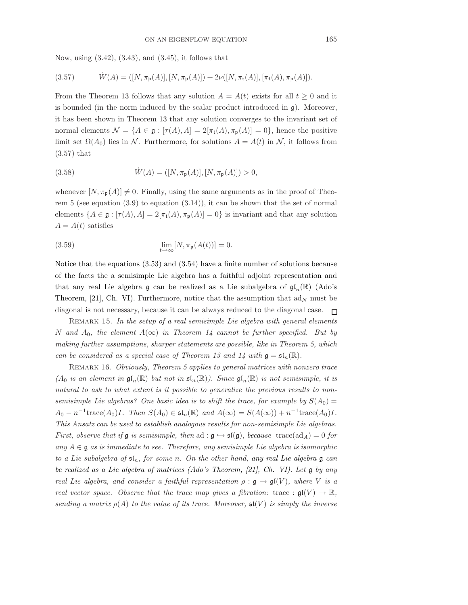Now, using (3.42), (3.43), and (3.45), it follows that

(3.57) 
$$
\dot{W}(A) = ([N, \pi_{\mathfrak{p}}(A)], [N, \pi_{\mathfrak{p}}(A)]) + 2\nu([N, \pi_{\mathfrak{t}}(A)], [\pi_{\mathfrak{t}}(A), \pi_{\mathfrak{p}}(A)]).
$$

From the Theorem 13 follows that any solution  $A = A(t)$  exists for all  $t \geq 0$  and it is bounded (in the norm induced by the scalar product introduced in  $\mathfrak{g}$ ). Moreover, it has been shown in Theorem 13 that any solution converges to the invariant set of normal elements  $\mathcal{N} = \{A \in \mathfrak{g} : [\tau(A), A] = 2[\pi_{\mathfrak{t}}(A), \pi_{\mathfrak{p}}(A)] = 0\}$ , hence the positive limit set  $\Omega(A_0)$  lies in N. Furthermore, for solutions  $A = A(t)$  in N, it follows from (3.57) that

(3.58) 
$$
\dot{W}(A) = ([N, \pi_{\mathfrak{p}}(A)], [N, \pi_{\mathfrak{p}}(A)]) > 0,
$$

whenever  $[N, \pi_{\mathfrak{p}}(A)] \neq 0$ . Finally, using the same arguments as in the proof of Theorem 5 (see equation  $(3.9)$  to equation  $(3.14)$ ), it can be shown that the set of normal elements  $\{A \in \mathfrak{g} : [\tau(A), A] = 2[\pi_t(A), \pi_{\mathfrak{p}}(A)] = 0\}$  is invariant and that any solution  $A = A(t)$  satisfies

(3.59) 
$$
\lim_{t \to \infty} [N, \pi_{\mathfrak{p}}(A(t))] = 0.
$$

Notice that the equations (3.53) and (3.54) have a finite number of solutions because of the facts the a semisimple Lie algebra has a faithful adjoint representation and that any real Lie algebra g can be realized as a Lie subalgebra of  $\mathfrak{gl}_n(\mathbb{R})$  (Ado's Theorem, [21], Ch. VI). Furthermore, notice that the assumption that  $ad_N$  must be diagonal is not necessary, because it can be always reduced to the diagonal case.  $\Box$ 

REMARK 15. In the setup of a real semisimple Lie algebra with general elements N and  $A_0$ , the element  $A(\infty)$  in Theorem 14 cannot be further specified. But by making further assumptions, sharper statements are possible, like in Theorem 5, which can be considered as a special case of Theorem 13 and 14 with  $\mathfrak{g} = \mathfrak{sl}_n(\mathbb{R})$ .

REMARK 16. Obviously, Theorem 5 applies to general matrices with nonzero trace  $(A_0$  is an element in  $\mathfrak{gl}_n(\mathbb{R})$  but not in  $\mathfrak{sl}_n(\mathbb{R})$ . Since  $\mathfrak{gl}_n(\mathbb{R})$  is not semisimple, it is natural to ask to what extent is it possible to generalize the previous results to nonsemisimple Lie algebras? One basic idea is to shift the trace, for example by  $S(A_0)$  =  $A_0 - n^{-1}$ trace $(A_0)I$ . Then  $S(A_0) \in \mathfrak{sl}_n(\mathbb{R})$  and  $A(\infty) = S(A(\infty)) + n^{-1}$ trace $(A_0)I$ . This Ansatz can be used to establish analogous results for non-semisimple Lie algebras. First, observe that if g is semisimple, then ad :  $g \hookrightarrow \mathfrak{sl}(g)$ , because trace( $ad_A$ ) = 0 for any  $A \in \mathfrak{g}$  as is immediate to see. Therefore, any semisimple Lie algebra is isomorphic to a Lie subalgebra of  $\mathfrak{sl}_n$ , for some n. On the other hand, any real Lie algebra g can be realized as a Lie algebra of matrices (Ado's Theorem, [21], Ch. VI). Let g by any real Lie algebra, and consider a faithful representation  $\rho : \mathfrak{g} \to \mathfrak{gl}(V)$ , where V is a real vector space. Observe that the trace map gives a fibration: trace :  $\mathfrak{gl}(V) \to \mathbb{R}$ , sending a matrix  $\rho(A)$  to the value of its trace. Moreover,  $\mathfrak{sl}(V)$  is simply the inverse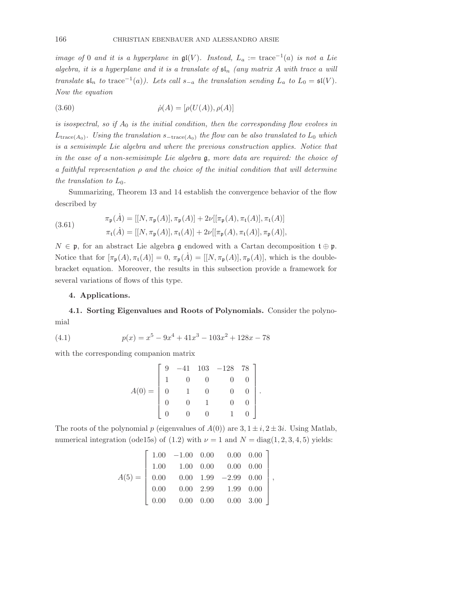image of 0 and it is a hyperplane in  $\mathfrak{gl}(V)$ . Instead,  $L_a := \text{trace}^{-1}(a)$  is not a Lie algebra, it is a hyperplane and it is a translate of  $\mathfrak{sl}_n$  (any matrix A with trace a will translate  $\mathfrak{sl}_n$  to trace<sup>-1</sup>(a)). Lets call  $s_{-a}$  the translation sending  $L_a$  to  $L_0 = \mathfrak{sl}(V)$ . Now the equation

(3.60) 
$$
\dot{\rho}(A) = [\rho(U(A)), \rho(A)]
$$

is isospectral, so if  $A_0$  is the initial condition, then the corresponding flow evolves in  $L_{\text{trace}(A_0)}$ . Using the translation  $s_{-\text{trace}(A_0)}$  the flow can be also translated to  $L_0$  which is a semisimple Lie algebra and where the previous construction applies. Notice that in the case of a non-semisimple Lie algebra  $\mathfrak{g}$ , more data are required: the choice of a faithful representation  $\rho$  and the choice of the initial condition that will determine the translation to  $L_0$ .

Summarizing, Theorem 13 and 14 establish the convergence behavior of the flow described by

(3.61) 
$$
\pi_{\mathfrak{p}}(\dot{A}) = [[N, \pi_{\mathfrak{p}}(A)], \pi_{\mathfrak{p}}(A)] + 2\nu[[\pi_{\mathfrak{p}}(A), \pi_{\mathfrak{t}}(A)], \pi_{\mathfrak{t}}(A)] \pi_{\mathfrak{t}}(\dot{A}) = [[N, \pi_{\mathfrak{p}}(A)], \pi_{\mathfrak{t}}(A)] + 2\nu[[\pi_{\mathfrak{p}}(A), \pi_{\mathfrak{t}}(A)], \pi_{\mathfrak{p}}(A)],
$$

 $N \in \mathfrak{p}$ , for an abstract Lie algebra g endowed with a Cartan decomposition  $\mathfrak{t} \oplus \mathfrak{p}$ . Notice that for  $[\pi_{\mathfrak{p}}(A), \pi_{\mathfrak{t}}(A)] = 0$ ,  $\pi_{\mathfrak{p}}(A) = [[N, \pi_{\mathfrak{p}}(A)], \pi_{\mathfrak{p}}(A)],$  which is the doublebracket equation. Moreover, the results in this subsection provide a framework for several variations of flows of this type.

## 4. Applications.

4.1. Sorting Eigenvalues and Roots of Polynomials. Consider the polynomial

(4.1) 
$$
p(x) = x^5 - 9x^4 + 41x^3 - 103x^2 + 128x - 78
$$

with the corresponding companion matrix

$$
A(0) = \begin{bmatrix} 9 & -41 & 103 & -128 & 78 \\ 1 & 0 & 0 & 0 & 0 \\ 0 & 1 & 0 & 0 & 0 \\ 0 & 0 & 1 & 0 & 0 \\ 0 & 0 & 0 & 1 & 0 \end{bmatrix}.
$$

The roots of the polynomial p (eigenvalues of  $A(0)$ ) are  $3, 1 \pm i, 2 \pm 3i$ . Using Matlab, numerical integration (ode15s) of (1.2) with  $\nu = 1$  and  $N = \text{diag}(1, 2, 3, 4, 5)$  yields:

$$
A(5) = \left[\begin{array}{cccccc} 1.00 & -1.00 & 0.00 & 0.00 & 0.00 \\ 1.00 & 1.00 & 0.00 & 0.00 & 0.00 \\ 0.00 & 0.00 & 1.99 & -2.99 & 0.00 \\ 0.00 & 0.00 & 2.99 & 1.99 & 0.00 \\ 0.00 & 0.00 & 0.00 & 0.00 & 3.00 \end{array}\right],
$$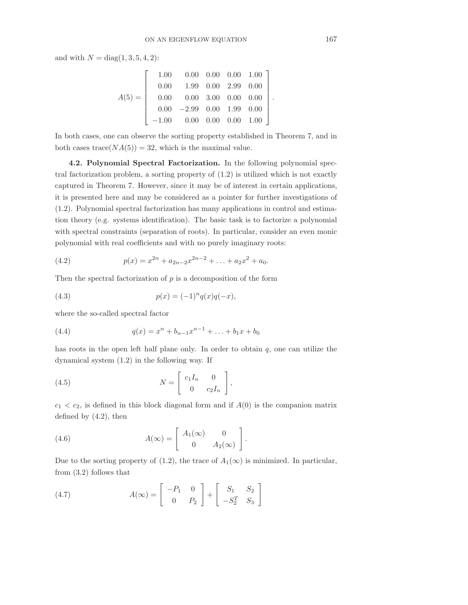and with  $N = diag(1, 3, 5, 4, 2)$ :

$$
A(5) = \left[\begin{array}{cccccc} 1.00 & 0.00 & 0.00 & 0.00 & 1.00 \\ 0.00 & 1.99 & 0.00 & 2.99 & 0.00 \\ 0.00 & 0.00 & 3.00 & 0.00 & 0.00 \\ 0.00 & -2.99 & 0.00 & 1.99 & 0.00 \\ -1.00 & 0.00 & 0.00 & 0.00 & 1.00 \end{array}\right]
$$

In both cases, one can observe the sorting property established in Theorem 7, and in both cases trace $(NA(5)) = 32$ , which is the maximal value.

4.2. Polynomial Spectral Factorization. In the following polynomial spectral factorization problem, a sorting property of (1.2) is utilized which is not exactly captured in Theorem 7. However, since it may be of interest in certain applications, it is presented here and may be considered as a pointer for further investigations of (1.2). Polynomial spectral factorization has many applications in control and estimation theory (e.g. systems identification). The basic task is to factorize a polynomial with spectral constraints (separation of roots). In particular, consider an even monic polynomial with real coefficients and with no purely imaginary roots:

(4.2) 
$$
p(x) = x^{2n} + a_{2n-2}x^{2n-2} + \ldots + a_2x^2 + a_0.
$$

Then the spectral factorization of  $p$  is a decomposition of the form

(4.3) 
$$
p(x) = (-1)^n q(x)q(-x),
$$

where the so-called spectral factor

(4.4) 
$$
q(x) = x^{n} + b_{n-1}x^{n-1} + \ldots + b_{1}x + b_{0}
$$

has roots in the open left half plane only. In order to obtain  $q$ , one can utilize the dynamical system (1.2) in the following way. If

(4.5) 
$$
N = \begin{bmatrix} c_1 I_n & 0 \\ 0 & c_2 I_n \end{bmatrix},
$$

 $c_1 < c_2$ , is defined in this block diagonal form and if  $A(0)$  is the companion matrix defined by (4.2), then

(4.6) 
$$
A(\infty) = \begin{bmatrix} A_1(\infty) & 0 \\ 0 & A_2(\infty) \end{bmatrix}.
$$

Due to the sorting property of (1.2), the trace of  $A_1(\infty)$  is minimized. In particular, from (3.2) follows that

(4.7) 
$$
A(\infty) = \begin{bmatrix} -P_1 & 0 \\ 0 & P_2 \end{bmatrix} + \begin{bmatrix} S_1 & S_2 \\ -S_2^T & S_3 \end{bmatrix}
$$

.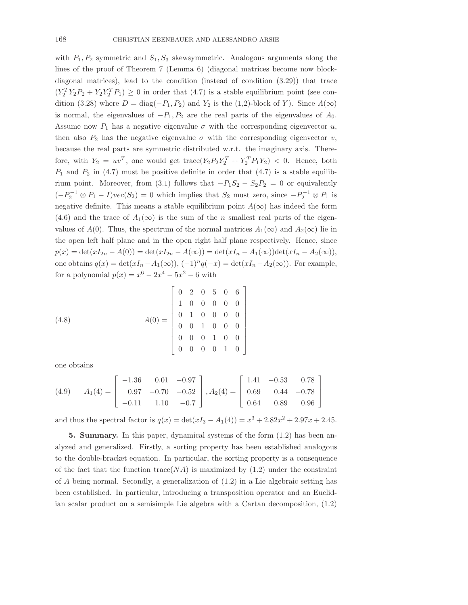with  $P_1, P_2$  symmetric and  $S_1, S_3$  skewsymmetric. Analogous arguments along the lines of the proof of Theorem 7 (Lemma 6) (diagonal matrices become now blockdiagonal matrices), lead to the condition (instead of condition (3.29)) that trace  $(Y_2^T Y_2 P_2 + Y_2 Y_2^T P_1) \geq 0$  in order that (4.7) is a stable equilibrium point (see condition (3.28) where  $D = \text{diag}(-P_1, P_2)$  and  $Y_2$  is the (1,2)-block of Y). Since  $A(\infty)$ is normal, the eigenvalues of  $-P_1, P_2$  are the real parts of the eigenvalues of  $A_0$ . Assume now  $P_1$  has a negative eigenvalue  $\sigma$  with the corresponding eigenvector u, then also  $P_2$  has the negative eigenvalue  $\sigma$  with the corresponding eigenvector v, because the real parts are symmetric distributed w.r.t. the imaginary axis. Therefore, with  $Y_2 = uv^T$ , one would get trace $(Y_2 P_2 Y_2^T + Y_2^T P_1 Y_2) < 0$ . Hence, both  $P_1$  and  $P_2$  in (4.7) must be positive definite in order that (4.7) is a stable equilibrium point. Moreover, from (3.1) follows that  $-P_1S_2 - S_2P_2 = 0$  or equivalently  $(-P_2^{-1} \otimes P_1 - I)vec(S_2) = 0$  which implies that  $S_2$  must zero, since  $-P_2^{-1} \otimes P_1$  is negative definite. This means a stable equilibrium point  $A(\infty)$  has indeed the form (4.6) and the trace of  $A_1(\infty)$  is the sum of the n smallest real parts of the eigenvalues of  $A(0)$ . Thus, the spectrum of the normal matrices  $A_1(\infty)$  and  $A_2(\infty)$  lie in the open left half plane and in the open right half plane respectively. Hence, since  $p(x) = det(xI_{2n} - A(0)) = det(xI_{2n} - A(\infty)) = det(xI_n - A_1(\infty))det(xI_n - A_2(\infty)),$ one obtains  $q(x) = \det(xI_n - A_1(\infty))$ ,  $(-1)^n q(-x) = \det(xI_n - A_2(\infty))$ . For example, for a polynomial  $p(x) = x^6 - 2x^4 - 5x^2 - 6$  with

(4.8) 
$$
A(0) = \begin{bmatrix} 0 & 2 & 0 & 5 & 0 & 6 \\ 1 & 0 & 0 & 0 & 0 & 0 \\ 0 & 1 & 0 & 0 & 0 & 0 \\ 0 & 0 & 1 & 0 & 0 & 0 \\ 0 & 0 & 0 & 1 & 0 & 0 \\ 0 & 0 & 0 & 0 & 1 & 0 \end{bmatrix}
$$

one obtains

$$
(4.9) \quad A_1(4) = \begin{bmatrix} -1.36 & 0.01 & -0.97 \\ 0.97 & -0.70 & -0.52 \\ -0.11 & 1.10 & -0.7 \end{bmatrix}, A_2(4) = \begin{bmatrix} 1.41 & -0.53 & 0.78 \\ 0.69 & 0.44 & -0.78 \\ 0.64 & 0.89 & 0.96 \end{bmatrix}
$$

and thus the spectral factor is  $q(x) = \det(xI_3 - A_1(4)) = x^3 + 2.82x^2 + 2.97x + 2.45$ .

5. Summary. In this paper, dynamical systems of the form (1.2) has been analyzed and generalized. Firstly, a sorting property has been established analogous to the double-bracket equation. In particular, the sorting property is a consequence of the fact that the function trace( $NA$ ) is maximized by (1.2) under the constraint of  $A$  being normal. Secondly, a generalization of  $(1.2)$  in a Lie algebraic setting has been established. In particular, introducing a transposition operator and an Euclidian scalar product on a semisimple Lie algebra with a Cartan decomposition, (1.2)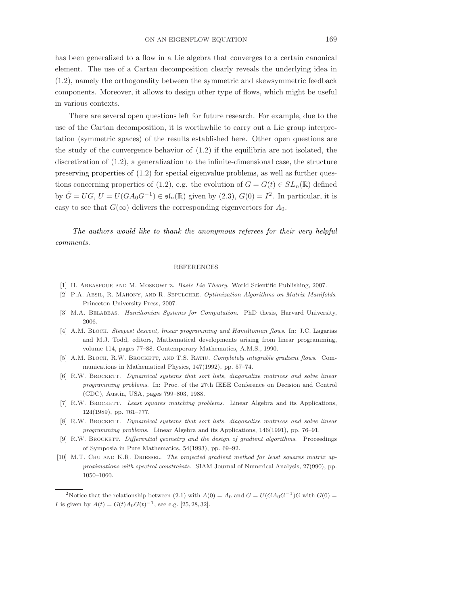has been generalized to a flow in a Lie algebra that converges to a certain canonical element. The use of a Cartan decomposition clearly reveals the underlying idea in (1.2), namely the orthogonality between the symmetric and skewsymmetric feedback components. Moreover, it allows to design other type of flows, which might be useful in various contexts.

There are several open questions left for future research. For example, due to the use of the Cartan decomposition, it is worthwhile to carry out a Lie group interpretation (symmetric spaces) of the results established here. Other open questions are the study of the convergence behavior of (1.2) if the equilibria are not isolated, the discretization of (1.2), a generalization to the infinite-dimensional case, the structure preserving properties of (1.2) for special eigenvalue problems, as well as further questions concerning properties of (1.2), e.g. the evolution of  $G = G(t) \in SL_n(\mathbb{R})$  defined by  $\dot{G} = UG$ ,  $U = U(GA_0G^{-1}) \in \mathfrak{sl}_n(\mathbb{R})$  given by  $(2.3)$ ,  $G(0) = I^2$ . In particular, it is easy to see that  $G(\infty)$  delivers the corresponding eigenvectors for  $A_0$ .

The authors would like to thank the anonymous referees for their very helpful comments.

#### REFERENCES

- [1] H. Abbaspour and M. Moskowitz. Basic Lie Theory. World Scientific Publishing, 2007.
- [2] P.A. Absil, R. Mahony, and R. Sepulchre. Optimization Algorithms on Matrix Manifolds. Princeton University Press, 2007.
- [3] M.A. BELABBAS. Hamiltonian Systems for Computation. PhD thesis, Harvard University, 2006.
- [4] A.M. BLOCH. Steepest descent, linear programming and Hamiltonian flows. In: J.C. Lagarias and M.J. Todd, editors, Mathematical developments arising from linear programming, volume 114, pages 77–88. Contemporary Mathematics, A.M.S., 1990.
- [5] A.M. BLOCH, R.W. BROCKETT, AND T.S. RATIU. Completely integrable gradient flows. Communications in Mathematical Physics, 147(1992), pp. 57–74.
- [6] R.W. BROCKETT. Dynamical systems that sort lists, diagonalize matrices and solve linear programming problems. In: Proc. of the 27th IEEE Conference on Decision and Control (CDC), Austin, USA, pages 799–803, 1988.
- [7] R.W. BROCKETT. Least squares matching problems. Linear Algebra and its Applications, 124(1989), pp. 761–777.
- [8] R.W. BROCKETT. Dynamical systems that sort lists, diagonalize matrices and solve linear programming problems. Linear Algebra and its Applications, 146(1991), pp. 76–91.
- [9] R.W. BROCKETT. Differential geometry and the design of gradient algorithms. Proceedings of Symposia in Pure Mathematics, 54(1993), pp. 69–92.
- [10] M.T. CHU AND K.R. DRIESSEL. The projected gradient method for least squares matrix approximations with spectral constraints. SIAM Journal of Numerical Analysis, 27(990), pp. 1050–1060.

<sup>2</sup>Notice that the relationship between (2.1) with  $A(0) = A_0$  and  $\dot{G} = U(GA_0G^{-1})G$  with  $G(0) =$ *I* is given by  $A(t) = G(t)A_0G(t)^{-1}$ , see e.g. [25, 28, 32].